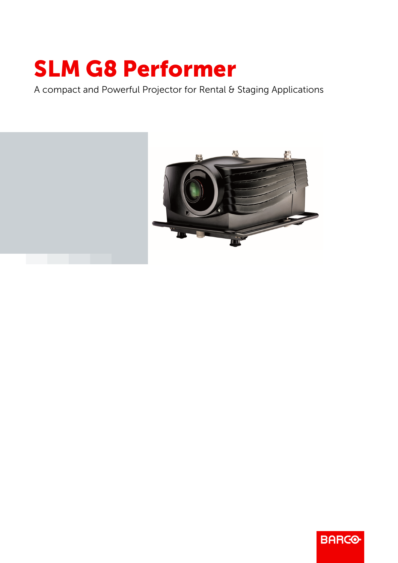## SLM G8 Performer

A compact and Powerful Projector for Rental & Staging Applications